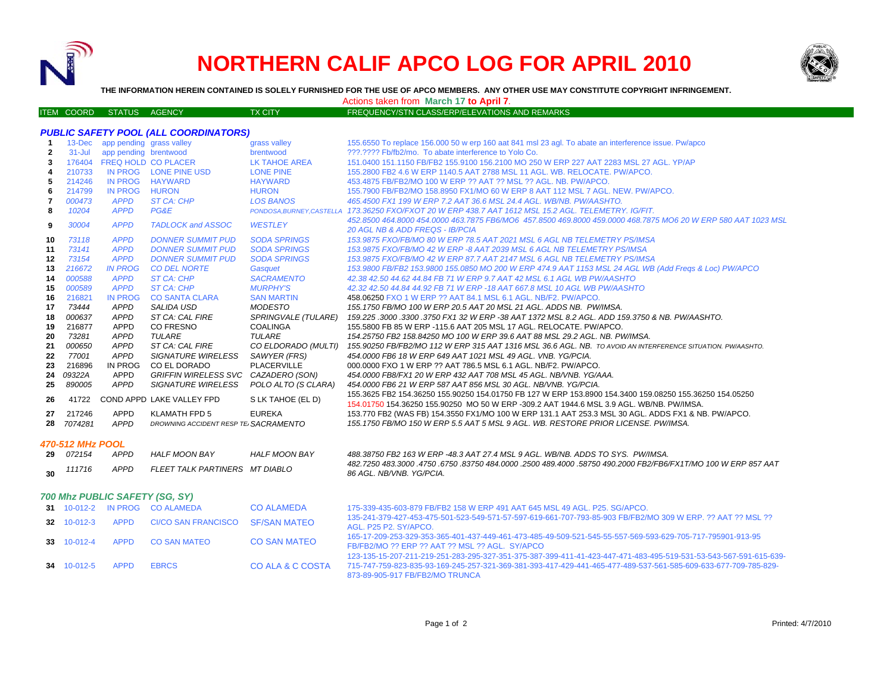

**34** 10-012-5 APPD EBRCS

# **NORTHERN CALIF APCO LOG FOR APRIL 2010**



**THE INFORMATION HEREIN CONTAINED IS SOLELY FURNISHED FOR THE USE OF APCO MEMBERS. ANY OTHER USE MAY CONSTITUTE COPYRIGHT INFRINGEMENT.**

Actions taken from **March 17 to April 7**.

| ITEM COORD STATUS AGENCY. |  | <b>TX CITY</b> | FREQUENCY/STN CLASS/ERP/ELEVATIONS AND REMARKS |
|---------------------------|--|----------------|------------------------------------------------|
|                           |  |                |                                                |

| <b>PUBLIC SAFETY POOL (ALL COORDINATORS)</b> |                  |                                |                                      |                           |                                                                                                                                                                                                     |  |  |  |
|----------------------------------------------|------------------|--------------------------------|--------------------------------------|---------------------------|-----------------------------------------------------------------------------------------------------------------------------------------------------------------------------------------------------|--|--|--|
| $\mathbf{1}$                                 | $13$ -Dec        | app pending grass valley       |                                      | grass valley              | 155.6550 To replace 156.000 50 w erp 160 aat 841 msl 23 agl. To abate an interference issue. Pw/apco                                                                                                |  |  |  |
| $\overline{2}$                               | $31 -$ Jul       | app pending brentwood          |                                      | brentwood                 | ???.???? Fb/fb2/mo. To abate interference to Yolo Co.                                                                                                                                               |  |  |  |
| 3                                            | 176404           | <b>FREQ HOLD CO PLACER</b>     |                                      | <b>LK TAHOE AREA</b>      | 151.0400 151.1150 FB/FB2 155.9100 156.2100 MO 250 W ERP 227 AAT 2283 MSL 27 AGL. YP/AP                                                                                                              |  |  |  |
| 4                                            | 210733           |                                | IN PROG LONE PINE USD                | <b>LONE PINE</b>          | 155,2800 FB2 4.6 W ERP 1140.5 AAT 2788 MSL 11 AGL, WB, RELOCATE, PW/APCO,                                                                                                                           |  |  |  |
| 5                                            | 214246           | <b>IN PROG</b>                 | <b>HAYWARD</b>                       | <b>HAYWARD</b>            | 453.4875 FB/FB2/MO 100 W ERP ?? AAT ?? MSL ?? AGL, NB, PW/APCO.                                                                                                                                     |  |  |  |
| 6                                            | 214799           | <b>IN PROG</b>                 | <b>HURON</b>                         | <b>HURON</b>              | 155.7900 FB/FB2/MO 158.8950 FX1/MO 60 W ERP 8 AAT 112 MSL 7 AGL. NEW. PW/APCO.                                                                                                                      |  |  |  |
| 7                                            | 000473           | <b>APPD</b>                    | ST CA: CHP                           | <b>LOS BANOS</b>          | 465.4500 FX1 199 W ERP 7.2 AAT 36.6 MSL 24.4 AGL, WB/NB, PW/AASHTO.                                                                                                                                 |  |  |  |
| 8                                            | 10204            | <b>APPD</b>                    | PG&E                                 | PONDOSA, BURNEY, CASTELLA | 173.36250 FXO/FXOT 20 W ERP 438.7 AAT 1612 MSL 15.2 AGL. TELEMETRY. IG/FIT.                                                                                                                         |  |  |  |
| 9                                            | 30004            | <b>APPD</b>                    | <b>TADLOCK and ASSOC</b>             | <b>WESTLEY</b>            | 452.8500 464.8000 454.0000 463.7875 FB6/MO6  457.8500 469.8000 459.0000 468.7875 MO6 20 W ERP 580 AAT 1023 MSL<br><b>20 AGL NB &amp; ADD FREQS - IB/PCIA</b>                                        |  |  |  |
| 10                                           | 73118            | <b>APPD</b>                    | <b>DONNER SUMMIT PUD</b>             | <b>SODA SPRINGS</b>       | 153.9875 FXO/FB/MO 80 W ERP 78.5 AAT 2021 MSL 6 AGL NB TELEMETRY PS/IMSA                                                                                                                            |  |  |  |
| 11                                           | 73141            | <b>APPD</b>                    | <b>DONNER SUMMIT PUD</b>             | <b>SODA SPRINGS</b>       | 153.9875 FXO/FB/MO 42 W ERP -8 AAT 2039 MSL 6 AGL NB TELEMETRY PS/IMSA                                                                                                                              |  |  |  |
| 12                                           | 73154            | <b>APPD</b>                    | <b>DONNER SUMMIT PUD</b>             | <b>SODA SPRINGS</b>       | 153.9875 FXO/FB/MO 42 W ERP 87.7 AAT 2147 MSL 6 AGL NB TELEMETRY PS/IMSA                                                                                                                            |  |  |  |
| 13                                           | 216672           | <b>IN PROG</b>                 | <b>CO DEL NORTE</b>                  | Gasquet                   | 153.9800 FB/FB2 153.9800 155.0850 MO 200 W ERP 474.9 AAT 1153 MSL 24 AGL WB (Add Freas & Loc) PW/APCO                                                                                               |  |  |  |
| 14                                           | 000588           | <b>APPD</b>                    | <b>ST CA: CHP</b>                    | <b>SACRAMENTO</b>         | 42.38 42.50 44.62 44.84 FB 71 W ERP 9.7 AAT 42 MSL 6.1 AGL WB PW/AASHTO                                                                                                                             |  |  |  |
| 15                                           | 000589           | <b>APPD</b>                    | <b>ST CA: CHP</b>                    | <b>MURPHY'S</b>           | 42.32 42.50 44.84 44.92 FB 71 W ERP -18 AAT 667.8 MSL 10 AGL WB PW/AASHTO                                                                                                                           |  |  |  |
| 16                                           | 216821           | <b>IN PROG</b>                 | <b>CO SANTA CLARA</b>                | <b>SAN MARTIN</b>         | 458.06250 FXO 1 W ERP ?? AAT 84.1 MSL 6.1 AGL, NB/F2, PW/APCO,                                                                                                                                      |  |  |  |
| 17                                           | 73444            | APPD                           | <b>SALIDA USD</b>                    | <b>MODESTO</b>            | 155.1750 FB/MO 100 W ERP 20.5 AAT 20 MSL 21 AGL. ADDS NB. PW/IMSA.                                                                                                                                  |  |  |  |
| 18                                           | 000637           | APPD                           | ST CA: CAL FIRE                      | SPRINGVALE (TULARE)       | 159.225 .3000 .3300 .3750 FX1 32 W ERP -38 AAT 1372 MSL 8.2 AGL. ADD 159.3750 & NB. PW/AASHTO.                                                                                                      |  |  |  |
| 19                                           | 216877           | <b>APPD</b>                    | CO FRESNO                            | <b>COALINGA</b>           | 155,5800 FB 85 W ERP -115.6 AAT 205 MSL 17 AGL, RELOCATE, PW/APCO.                                                                                                                                  |  |  |  |
| 20                                           | 73281            | <b>APPD</b>                    | <b>TULARE</b>                        | <b>TULARE</b>             | 154.25750 FB2 158.84250 MO 100 W ERP 39.6 AAT 88 MSL 29.2 AGL. NB. PW/IMSA.                                                                                                                         |  |  |  |
| 21                                           | 000650           | <b>APPD</b>                    | ST CA: CAL FIRE                      | CO ELDORADO (MULTI)       | 155.90250 FB/FB2/MO 112 W ERP 315 AAT 1316 MSL 36.6 AGL. NB. TO AVOID AN INTERFERENCE SITUATION, PW/AASHTO,                                                                                         |  |  |  |
| 22                                           | 77001            | <b>APPD</b>                    | <b>SIGNATURE WIRELESS</b>            | SAWYER (FRS)              | 454.0000 FB6 18 W ERP 649 AAT 1021 MSL 49 AGL. VNB. YG/PCIA.                                                                                                                                        |  |  |  |
| 23                                           | 216896           | <b>IN PROG</b>                 | CO EL DORADO                         | <b>PLACERVILLE</b>        | 000.0000 FXO 1 W ERP ?? AAT 786.5 MSL 6.1 AGL. NB/F2. PW/APCO.                                                                                                                                      |  |  |  |
| 24                                           | 09322A           | APPD                           | <b>GRIFFIN WIRELESS SVC</b>          | CAZADERO (SON)            | 454.0000 FB8/FX1 20 W ERP 432 AAT 708 MSL 45 AGL. NB/VNB. YG/AAA.                                                                                                                                   |  |  |  |
| 25                                           | 890005           | <b>APPD</b>                    | <b>SIGNATURE WIRELESS</b>            | POLO ALTO (S CLARA)       | 454.0000 FB6 21 W ERP 587 AAT 856 MSL 30 AGL. NB/VNB. YG/PCIA.                                                                                                                                      |  |  |  |
| 26                                           | 41722            |                                | COND APPD LAKE VALLEY FPD            | S LK TAHOE (EL D)         | 155.3625 FB2 154.36250 155.90250 154.01750 FB 127 W ERP 153.8900 154.3400 159.08250 155.36250 154.05250<br>154.01750 154.36250 155.90250 MO 50 W ERP -309.2 AAT 1944.6 MSL 3.9 AGL. WB/NB. PW/IMSA. |  |  |  |
| 27                                           | 217246           | <b>APPD</b>                    | <b>KLAMATH FPD 5</b>                 | <b>EUREKA</b>             | 153.770 FB2 (WAS FB) 154.3550 FX1/MO 100 W ERP 131.1 AAT 253.3 MSL 30 AGL. ADDS FX1 & NB. PW/APCO.                                                                                                  |  |  |  |
| 28                                           | 7074281          | <b>APPD</b>                    | DROWNING ACCIDENT RESP TE SACRAMENTO |                           | 155.1750 FB/MO 150 W ERP 5.5 AAT 5 MSL 9 AGL. WB. RESTORE PRIOR LICENSE. PW/IMSA.                                                                                                                   |  |  |  |
|                                              | 470-512 MHz POOL |                                |                                      |                           |                                                                                                                                                                                                     |  |  |  |
| -29                                          | 072154           | <b>APPD</b>                    | <b>HALF MOON BAY</b>                 | <b>HALF MOON BAY</b>      | 488.38750 FB2 163 W ERP -48.3 AAT 27.4 MSL 9 AGL. WB/NB. ADDS TO SYS. PW/IMSA.                                                                                                                      |  |  |  |
| 30                                           | 111716           | APPD                           | FLEET TALK PARTINERS MT DIABLO       |                           | 482.7250 483.3000 .4750 .6750 .83750 484.0000 .2500 489.4000 .58750 490.2000 FB2/FB6/FX1T/MO 100 W ERP 857 AAT<br>86 AGL, NB/VNB, YG/PCIA,                                                          |  |  |  |
|                                              |                  | 700 Mhz PUBLIC SAFETY (SG, SY) |                                      |                           |                                                                                                                                                                                                     |  |  |  |
|                                              |                  |                                | 31 10-012-2 IN PROG CO ALAMEDA       | <b>CO ALAMEDA</b>         | 175-339-435-603-879 FB/FB2 158 W ERP 491 AAT 645 MSL 49 AGL, P25, SG/APCO,                                                                                                                          |  |  |  |
|                                              | 32 10-012-3      | <b>APPD</b>                    | <b>CI/CO SAN FRANCISCO</b>           | <b>SF/SAN MATEO</b>       | 135-241-379-427-453-475-501-523-549-571-57-597-619-661-707-793-85-903 FB/FB2/MO 309 W ERP. ?? AAT ?? MSL ??<br>AGL. P25 P2. SY/APCO.                                                                |  |  |  |
|                                              | 33 10-012-4      | <b>APPD</b>                    | <b>CO SAN MATEO</b>                  | <b>CO SAN MATEO</b>       | 165-17-209-253-329-353-365-401-437-449-461-473-485-49-509-521-545-55-557-569-593-629-705-717-795901-913-95<br>FB/FB2/MO ?? ERP ?? AAT ?? MSL ?? AGL. SY/APCO                                        |  |  |  |

873-89-905-917 FB/FB2/MO TRUNCA

CO ALA & C COSTA715-747-759-823-835-93-169-245-257-321-369-381-393-417-429-441-465-477-489-537-561-585-609-633-677-709-785-829-

123-135-15-207-211-219-251-283-295-327-351-375-387-399-411-41-423-447-471-483-495-519-531-53-543-567-591-615-639-